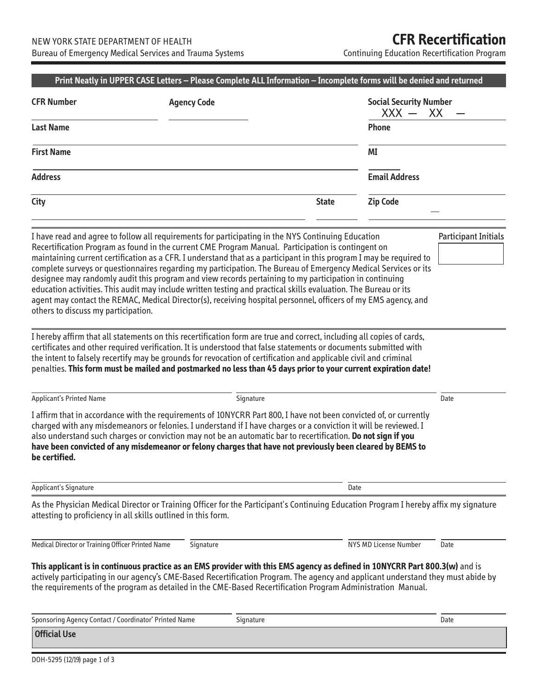Continuing Education Recertification Program

| <b>CFR Number</b>                                             | <b>Agency Code</b> |                                                                                                                                                                                                                                                                                                                                                                                                                                                                                                                                                                                                                                                                                                                                                                                                  | $XXX -$                      | <b>Social Security Number</b><br>XX |  |
|---------------------------------------------------------------|--------------------|--------------------------------------------------------------------------------------------------------------------------------------------------------------------------------------------------------------------------------------------------------------------------------------------------------------------------------------------------------------------------------------------------------------------------------------------------------------------------------------------------------------------------------------------------------------------------------------------------------------------------------------------------------------------------------------------------------------------------------------------------------------------------------------------------|------------------------------|-------------------------------------|--|
| <b>Last Name</b>                                              |                    |                                                                                                                                                                                                                                                                                                                                                                                                                                                                                                                                                                                                                                                                                                                                                                                                  | Phone                        |                                     |  |
| <b>First Name</b>                                             |                    |                                                                                                                                                                                                                                                                                                                                                                                                                                                                                                                                                                                                                                                                                                                                                                                                  | ΜI                           |                                     |  |
| <b>Address</b>                                                |                    |                                                                                                                                                                                                                                                                                                                                                                                                                                                                                                                                                                                                                                                                                                                                                                                                  | <b>Email Address</b>         |                                     |  |
| City                                                          |                    | <b>State</b>                                                                                                                                                                                                                                                                                                                                                                                                                                                                                                                                                                                                                                                                                                                                                                                     | <b>Zip Code</b>              |                                     |  |
| others to discuss my participation.                           |                    | I have read and agree to follow all requirements for participating in the NYS Continuing Education<br>Recertification Program as found in the current CME Program Manual. Participation is contingent on<br>maintaining current certification as a CFR. I understand that as a participant in this program I may be required to<br>complete surveys or questionnaires regarding my participation. The Bureau of Emergency Medical Services or its<br>designee may randomly audit this program and view records pertaining to my participation in continuing<br>education activities. This audit may include written testing and practical skills evaluation. The Bureau or its<br>agent may contact the REMAC, Medical Director(s), receiving hospital personnel, officers of my EMS agency, and |                              | <b>Participant Initials</b>         |  |
|                                                               |                    | I hereby affirm that all statements on this recertification form are true and correct, including all copies of cards,<br>certificates and other required verification. It is understood that false statements or documents submitted with<br>the intent to falsely recertify may be grounds for revocation of certification and applicable civil and criminal                                                                                                                                                                                                                                                                                                                                                                                                                                    |                              |                                     |  |
| <b>Applicant's Printed Name</b>                               |                    | penalties. This form must be mailed and postmarked no less than 45 days prior to your current expiration date!<br>Signature                                                                                                                                                                                                                                                                                                                                                                                                                                                                                                                                                                                                                                                                      |                              | Date                                |  |
|                                                               |                    | I affirm that in accordance with the requirements of 10NYCRR Part 800, I have not been convicted of, or currently<br>charged with any misdemeanors or felonies. I understand if I have charges or a conviction it will be reviewed. I<br>also understand such charges or conviction may not be an automatic bar to recertification. Do not sign if you<br>have been convicted of any misdemeanor or felony charges that have not previously been cleared by BEMS to                                                                                                                                                                                                                                                                                                                              |                              |                                     |  |
| be certified.<br>Applicant's Signature                        |                    |                                                                                                                                                                                                                                                                                                                                                                                                                                                                                                                                                                                                                                                                                                                                                                                                  | Date                         |                                     |  |
| attesting to proficiency in all skills outlined in this form. |                    | As the Physician Medical Director or Training Officer for the Participant's Continuing Education Program I hereby affix my signature                                                                                                                                                                                                                                                                                                                                                                                                                                                                                                                                                                                                                                                             |                              |                                     |  |
| Medical Director or Training Officer Printed Name             | Signature          |                                                                                                                                                                                                                                                                                                                                                                                                                                                                                                                                                                                                                                                                                                                                                                                                  | <b>NYS MD License Number</b> | Date                                |  |
|                                                               |                    | This applicant is in continuous practice as an EMS provider with this EMS agency as defined in 10NYCRR Part 800.3(w) and is<br>actively participating in our agency's CME-Based Recertification Program. The agency and applicant understand they must abide by<br>the requirements of the program as detailed in the CME-Based Recertification Program Administration Manual.                                                                                                                                                                                                                                                                                                                                                                                                                   |                              |                                     |  |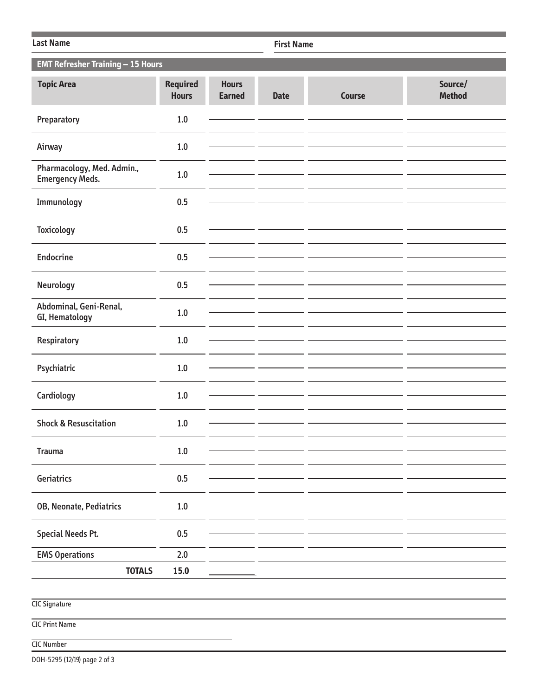| <b>Last Name</b>                                     |                                 |                               |             | <b>First Name</b> |                          |  |  |
|------------------------------------------------------|---------------------------------|-------------------------------|-------------|-------------------|--------------------------|--|--|
| <b>EMT Refresher Training - 15 Hours</b>             |                                 |                               |             |                   |                          |  |  |
| <b>Topic Area</b>                                    | <b>Required</b><br><b>Hours</b> | <b>Hours</b><br><b>Earned</b> | <b>Date</b> | <b>Course</b>     | Source/<br><b>Method</b> |  |  |
| Preparatory                                          | $1.0$                           |                               |             |                   |                          |  |  |
| Airway                                               | 1.0                             |                               |             |                   |                          |  |  |
| Pharmacology, Med. Admin.,<br><b>Emergency Meds.</b> | $1.0$                           |                               |             |                   |                          |  |  |
| Immunology                                           | 0.5                             |                               |             |                   |                          |  |  |
| <b>Toxicology</b>                                    | 0.5                             |                               |             |                   |                          |  |  |
| <b>Endocrine</b>                                     | 0.5                             |                               |             |                   |                          |  |  |
| Neurology                                            | 0.5                             |                               |             |                   |                          |  |  |
| Abdominal, Geni-Renal,<br>GI, Hematology             | 1.0                             |                               |             |                   |                          |  |  |
| Respiratory                                          | $1.0\,$                         |                               |             |                   |                          |  |  |
| Psychiatric                                          | 1.0                             |                               |             |                   |                          |  |  |
| Cardiology                                           | $1.0\,$                         |                               |             |                   |                          |  |  |
| <b>Shock &amp; Resuscitation</b>                     | 1.0                             |                               |             |                   |                          |  |  |
| <b>Trauma</b>                                        | $1.0\,$                         |                               |             |                   |                          |  |  |
|                                                      |                                 |                               |             |                   |                          |  |  |
| Geriatrics                                           | 0.5                             |                               |             |                   |                          |  |  |
| OB, Neonate, Pediatrics                              | $1.0\,$                         |                               |             |                   |                          |  |  |
| <b>Special Needs Pt.</b>                             | 0.5                             |                               |             |                   |                          |  |  |
| <b>EMS Operations</b>                                | $2.0$                           |                               |             |                   |                          |  |  |
| <b>TOTALS</b>                                        | 15.0                            |                               |             |                   |                          |  |  |
|                                                      |                                 |                               |             |                   |                          |  |  |
| <b>CIC Signature</b>                                 |                                 |                               |             |                   |                          |  |  |

CIC Print Name

## CIC Number

DOH-5295 (12/19) page 2 of 3